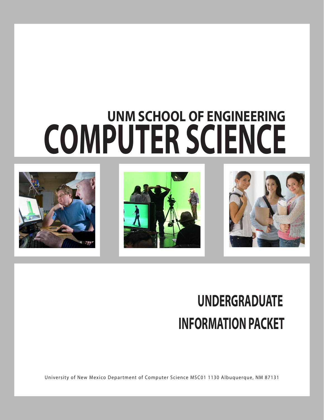# **UNM SCHOOL OF ENGINEERING COMPUTER SCIENCE**





## **UNDERGRADUATE INFORMATION PACKET**

University of New Mexico Department of Computer Science MSC01 1130 Albuquerque, NM 87131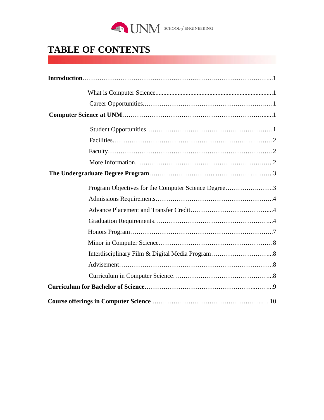

## **TABLE OF CONTENTS**

| Program Objectives for the Computer Science Degree3 |
|-----------------------------------------------------|
|                                                     |
|                                                     |
|                                                     |
|                                                     |
|                                                     |
|                                                     |
|                                                     |
|                                                     |
|                                                     |
|                                                     |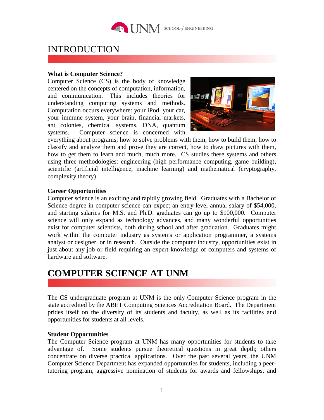

## INTRODUCTION

## **What is Computer Science?**

Computer Science (CS) is the body of knowledge centered on the concepts of computation, information, and communication. This includes theories for understanding computing systems and methods. Computation occurs everywhere: your iPod, your car, your immune system, your brain, financial markets, ant colonies, chemical systems, DNA, quantum systems. Computer science is concerned with



everything about programs; how to solve problems with them, how to build them, how to classify and analyze them and prove they are correct, how to draw pictures with them, how to get them to learn and much, much more. CS studies these systems and others using three methodologies: engineering (high performance computing, game building), scientific (artificial intelligence, machine learning) and mathematical (cryptography, complexity theory).

## **Career Opportunities**

Computer science is an exciting and rapidly growing field. Graduates with a Bachelor of Science degree in computer science can expect an entry-level annual salary of \$54,000, and starting salaries for M.S. and Ph.D. graduates can go up to \$100,000. Computer science will only expand as technology advances, and many wonderful opportunities exist for computer scientists, both during school and after graduation. Graduates might work within the computer industry as systems or application programmer, a systems analyst or designer, or in research. Outside the computer industry, opportunities exist in just about any job or field requiring an expert knowledge of computers and systems of hardware and software.

## **COMPUTER SCIENCE AT UNM**

The CS undergraduate program at UNM is the only Computer Science program in the state accredited by the ABET Computing Sciences Accreditation Board. The Department prides itself on the diversity of its students and faculty, as well as its facilities and opportunities for students at all levels.

## **Student Opportunities**

The Computer Science program at UNM has many opportunities for students to take advantage of. Some students pursue theoretical questions in great depth; others concentrate on diverse practical applications. Over the past several years, the UNM Computer Science Department has expanded opportunities for students, including a peertutoring program, aggressive nomination of students for awards and fellowships, and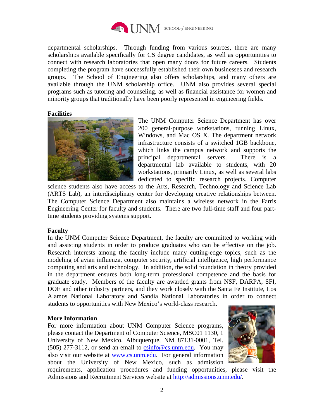

departmental scholarships. Through funding from various sources, there are many scholarships available specifically for CS degree candidates, as well as opportunities to connect with research laboratories that open many doors for future careers. Students completing the program have successfully established their own businesses and research groups. The School of Engineering also offers scholarships, and many others are available through the UNM scholarship office. UNM also provides several special programs such as tutoring and counseling, as well as financial assistance for women and minority groups that traditionally have been poorly represented in engineering fields.

## **Facilities**



The UNM Computer Science Department has over 200 general-purpose workstations, running Linux, Windows, and Mac OS X. The department network infrastructure consists of a switched 1GB backbone, which links the campus network and supports the principal departmental servers. There is a departmental lab available to students, with 20 workstations, primarily Linux, as well as several labs dedicated to specific research projects. Computer

science students also have access to the Arts, Research, Technology and Science Lab (ARTS Lab), an interdisciplinary center for developing creative relationships between. The Computer Science Department also maintains a wireless network in the Farris Engineering Center for faculty and students. There are two full-time staff and four parttime students providing systems support.

## **Faculty**

In the UNM Computer Science Department, the faculty are committed to working with and assisting students in order to produce graduates who can be effective on the job. Research interests among the faculty include many cutting-edge topics, such as the modeling of avian influenza, computer security, artificial intelligence, high performance computing and arts and technology. In addition, the solid foundation in theory provided in the department ensures both long-term professional competence and the basis for graduate study. Members of the faculty are awarded grants from NSF, DARPA, SFI, DOE and other industry partners, and they work closely with the Santa Fe Institute, Los Alamos National Laboratory and Sandia National Laboratories in order to connect students to opportunities with New Mexico's world-class research.

## **More Information**

For more information about UNM Computer Science programs, please contact the Department of Computer Science, MSC01 1130, 1 University of New Mexico, Albuquerque, NM 87131-0001, Tel.  $(505)$  277-3112, or send an email to  $csinfo@cs.$ unm.edu. You may also visit our website at [www.cs.unm.edu.](http://www.cs.unm.edu/) For general information about the University of New Mexico, such as admission



requirements, application procedures and funding opportunities, please visit the Admissions and Recruitment Services website at [http://admissions.unm.edu/.](http://admissions.unm.edu/)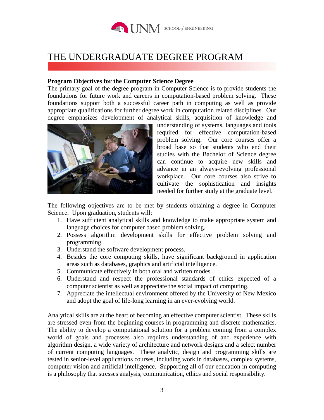

## THE UNDERGRADUATE DEGREE PROGRAM

## **Program Objectives for the Computer Science Degree**

The primary goal of the degree program in Computer Science is to provide students the foundations for future work and careers in computation-based problem solving. These foundations support both a successful career path in computing as well as provide appropriate qualifications for further degree work in computation related disciplines. Our degree emphasizes development of analytical skills, acquisition of knowledge and



understanding of systems, languages and tools required for effective computation-based problem solving. Our core courses offer a broad base so that students who end their studies with the Bachelor of Science degree can continue to acquire new skills and advance in an always-evolving professional workplace. Our core courses also strive to cultivate the sophistication and insights needed for further study at the graduate level.

The following objectives are to be met by students obtaining a degree in Computer Science. Upon graduation, students will:

- 1. Have sufficient analytical skills and knowledge to make appropriate system and language choices for computer based problem solving.
- 2. Possess algorithm development skills for effective problem solving and programming.
- 3. Understand the software development process.
- 4. Besides the core computing skills, have significant background in application areas such as databases, graphics and artificial intelligence.
- 5. Communicate effectively in both oral and written modes.
- 6. Understand and respect the professional standards of ethics expected of a computer scientist as well as appreciate the social impact of computing.
- 7. Appreciate the intellectual environment offered by the University of New Mexico and adopt the goal of life-long learning in an ever-evolving world.

Analytical skills are at the heart of becoming an effective computer scientist. These skills are stressed even from the beginning courses in programming and discrete mathematics. The ability to develop a computational solution for a problem coming from a complex world of goals and processes also requires understanding of and experience with algorithm design, a wide variety of architecture and network designs and a select number of current computing languages. These analytic, design and programming skills are tested in senior-level applications courses, including work in databases, complex systems, computer vision and artificial intelligence. Supporting all of our education in computing is a philosophy that stresses analysis, communication, ethics and social responsibility.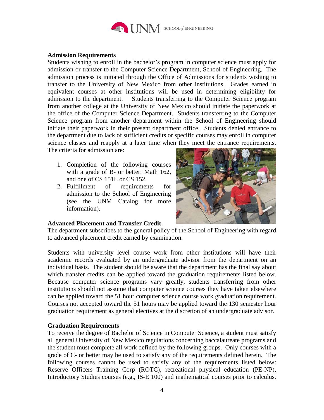

## **Admission Requirements**

Students wishing to enroll in the bachelor's program in computer science must apply for admission or transfer to the Computer Science Department, School of Engineering. The admission process is initiated through the Office of Admissions for students wishing to transfer to the University of New Mexico from other institutions. Grades earned in equivalent courses at other institutions will be used in determining eligibility for admission to the department. Students transferring to the Computer Science program from another college at the University of New Mexico should initiate the paperwork at the office of the Computer Science Department. Students transferring to the Computer Science program from another department within the School of Engineering should initiate their paperwork in their present department office. Students denied entrance to the department due to lack of sufficient credits or specific courses may enroll in computer science classes and reapply at a later time when they meet the entrance requirements.

The criteria for admission are:

- 1. Completion of the following courses with a grade of B- or better: Math 162, and one of CS 151L or CS 152.
- 2. Fulfillment of requirements for admission to the School of Engineering (see the UNM Catalog for more information).



## **Advanced Placement and Transfer Credit**

The department subscribes to the general policy of the School of Engineering with regard to advanced placement credit earned by examination.

Students with university level course work from other institutions will have their academic records evaluated by an undergraduate advisor from the department on an individual basis. The student should be aware that the department has the final say about which transfer credits can be applied toward the graduation requirements listed below. Because computer science programs vary greatly, students transferring from other institutions should not assume that computer science courses they have taken elsewhere can be applied toward the 51 hour computer science course work graduation requirement. Courses not accepted toward the 51 hours may be applied toward the 130 semester hour graduation requirement as general electives at the discretion of an undergraduate advisor.

## **Graduation Requirements**

To receive the degree of Bachelor of Science in Computer Science, a student must satisfy all general University of New Mexico regulations concerning baccalaureate programs and the student must complete all work defined by the following groups. Only courses with a grade of C- or better may be used to satisfy any of the requirements defined herein. The following courses cannot be used to satisfy any of the requirements listed below: Reserve Officers Training Corp (ROTC), recreational physical education (PE-NP), Introductory Studies courses (e.g., IS-E 100) and mathematical courses prior to calculus.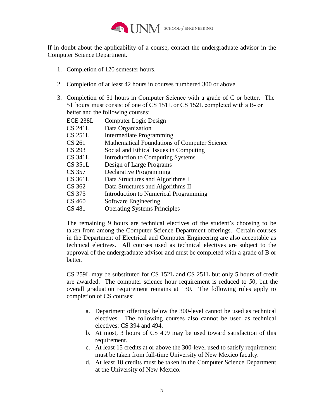

If in doubt about the applicability of a course, contact the undergraduate advisor in the Computer Science Department.

- 1. Completion of 120 semester hours.
- 2. Completion of at least 42 hours in courses numbered 300 or above.
- 3. Completion of 51 hours in Computer Science with a grade of C or better. The 51 hours must consist of one of CS 151L or CS 152L completed with a B- or better and the following courses:

| ECE 238L | Computer Logic Design                               |
|----------|-----------------------------------------------------|
| CS 241L  | Data Organization                                   |
| CS 251L  | Intermediate Programming                            |
| CS 261   | <b>Mathematical Foundations of Computer Science</b> |
| CS 293   | Social and Ethical Issues in Computing              |
| CS 341L  | Introduction to Computing Systems                   |
| CS 351L  | Design of Large Programs                            |
| CS 357   | Declarative Programming                             |
| CS 361L  | Data Structures and Algorithms I                    |
| CS 362   | Data Structures and Algorithms II                   |
| CS 375   | Introduction to Numerical Programming               |
| CS 460   | Software Engineering                                |
| CS 481   | <b>Operating Systems Principles</b>                 |

The remaining 9 hours are technical electives of the student's choosing to be taken from among the Computer Science Department offerings. Certain courses in the Department of Electrical and Computer Engineering are also acceptable as technical electives. All courses used as technical electives are subject to the approval of the undergraduate advisor and must be completed with a grade of B or better.

CS 259L may be substituted for CS 152L and CS 251L but only 5 hours of credit are awarded. The computer science hour requirement is reduced to 50, but the overall graduation requirement remains at 130. The following rules apply to completion of CS courses:

- a. Department offerings below the 300-level cannot be used as technical electives. The following courses also cannot be used as technical electives: CS 394 and 494.
- b. At most, 3 hours of CS 499 may be used toward satisfaction of this requirement.
- c. At least 15 credits at or above the 300-level used to satisfy requirement must be taken from full-time University of New Mexico faculty.
- d. At least 18 credits must be taken in the Computer Science Department at the University of New Mexico.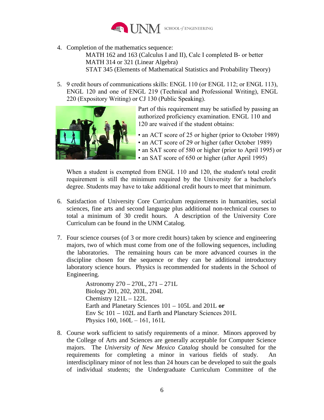

4. Completion of the mathematics sequence:

MATH 162 and 163 (Calculus I and II), Calc I completed B- or better MATH 314 or 321 (Linear Algebra) STAT 345 (Elements of Mathematical Statistics and Probability Theory)

5. 9 credit hours of communications skills: ENGL 110 (or ENGL 112; or ENGL 113), ENGL 120 and one of ENGL 219 (Technical and Professional Writing), ENGL 220 (Expository Writing) or CJ 130 (Public Speaking).



Part of this requirement may be satisfied by passing an authorized proficiency examination. ENGL 110 and 120 are waived if the student obtains:

- an ACT score of 25 or higher (prior to October 1989)
- an ACT score of 29 or higher (after October 1989)
- an SAT score of 580 or higher (prior to April 1995) or
- an SAT score of 650 or higher (after April 1995)

When a student is exempted from ENGL 110 and 120, the student's total credit requirement is still the minimum required by the University for a bachelor's degree. Students may have to take additional credit hours to meet that minimum.

- 6. Satisfaction of University Core Curriculum requirements in humanities, social sciences, fine arts and second language plus additional non-technical courses to total a minimum of 30 credit hours. A description of the University Core Curriculum can be found in the UNM Catalog.
- 7. Four science courses (of 3 or more credit hours) taken by science and engineering majors, two of which must come from one of the following sequences, including the laboratories. The remaining hours can be more advanced courses in the discipline chosen for the sequence or they can be additional introductory laboratory science hours. Physics is recommended for students in the School of Engineering.

Astronomy 270 – 270L, 271 – 271L Biology 201, 202, 203L, 204L Chemistry 121L – 122L Earth and Planetary Sciences 101 – 105L and 201L **or** Env Sc 101 – 102L and Earth and Planetary Sciences 201L Physics 160, 160L – 161, 161L

8. Course work sufficient to satisfy requirements of a minor. Minors approved by the College of Arts and Sciences are generally acceptable for Computer Science majors. The *University of New Mexico Catalog* should be consulted for the requirements for completing a minor in various fields of study. An interdisciplinary minor of not less than 24 hours can be developed to suit the goals of individual students; the Undergraduate Curriculum Committee of the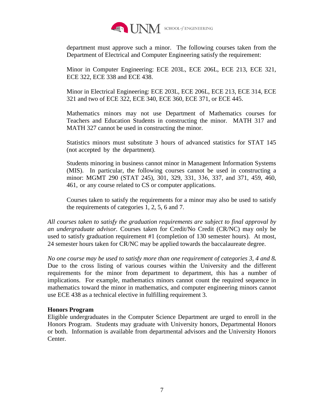

department must approve such a minor. The following courses taken from the Department of Electrical and Computer Engineering satisfy the requirement:

Minor in Computer Engineering: ECE 203L, ECE 206L, ECE 213, ECE 321, ECE 322, ECE 338 and ECE 438.

Minor in Electrical Engineering: ECE 203L, ECE 206L, ECE 213, ECE 314, ECE 321 and two of ECE 322, ECE 340, ECE 360, ECE 371, or ECE 445.

Mathematics minors may not use Department of Mathematics courses for Teachers and Education Students in constructing the minor. MATH 317 and MATH 327 cannot be used in constructing the minor.

Statistics minors must substitute 3 hours of advanced statistics for STAT 145 (not accepted by the department).

Students minoring in business cannot minor in Management Information Systems (MIS). In particular, the following courses cannot be used in constructing a minor: MGMT 290 (STAT 245), 301, 329, 331, 336, 337, and 371, 459, 460, 461, or any course related to CS or computer applications.

Courses taken to satisfy the requirements for a minor may also be used to satisfy the requirements of categories 1, 2, 5, 6 and 7.

*All courses taken to satisfy the graduation requirements are subject to final approval by an undergraduate advisor.* Courses taken for Credit/No Credit (CR/NC) may only be used to satisfy graduation requirement #1 (completion of 130 semester hours). At most, 24 semester hours taken for CR/NC may be applied towards the baccalaureate degree.

*No one course may be used to satisfy more than one requirement of categories 3, 4 and 8.* Due to the cross listing of various courses within the University and the different requirements for the minor from department to department, this has a number of implications. For example, mathematics minors cannot count the required sequence in mathematics toward the minor in mathematics, and computer engineering minors cannot use ECE 438 as a technical elective in fulfilling requirement 3.

## **Honors Program**

Eligible undergraduates in the Computer Science Department are urged to enroll in the Honors Program. Students may graduate with University honors, Departmental Honors or both. Information is available from departmental advisors and the University Honors Center.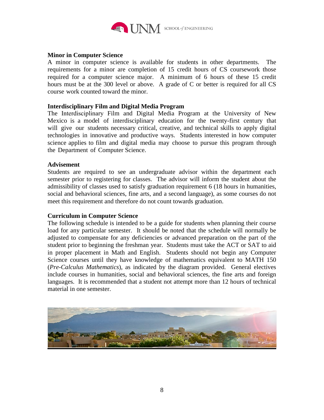

## **Minor in Computer Science**

A minor in computer science is available for students in other departments. The requirements for a minor are completion of 15 credit hours of CS coursework those required for a computer science major. A minimum of 6 hours of these 15 credit hours must be at the 300 level or above. A grade of C or better is required for all CS course work counted toward the minor.

## **Interdisciplinary Film and Digital Media Program**

The Interdisciplinary Film and Digital Media Program at the University of New Mexico is a model of interdisciplinary education for the twenty-first century that will give our students necessary critical, creative, and technical skills to apply digital technologies in innovative and productive ways. Students interested in how computer science applies to film and digital media may choose to pursue this program through the Department of Computer Science.

## **Advisement**

Students are required to see an undergraduate advisor within the department each semester prior to registering for classes. The advisor will inform the student about the admissibility of classes used to satisfy graduation requirement 6 (18 hours in humanities, social and behavioral sciences, fine arts, and a second language), as some courses do not meet this requirement and therefore do not count towards graduation.

## **Curriculum in Computer Science**

The following schedule is intended to be a guide for students when planning their course load for any particular semester. It should be noted that the schedule will normally be adjusted to compensate for any deficiencies or advanced preparation on the part of the student prior to beginning the freshman year. Students must take the ACT or SAT to aid in proper placement in Math and English. Students should not begin any Computer Science courses until they have knowledge of mathematics equivalent to MATH 150 (*Pre-Calculus Mathematics*), as indicated by the diagram provided. General electives include courses in humanities, social and behavioral sciences, the fine arts and foreign languages. It is recommended that a student not attempt more than 12 hours of technical material in one semester.

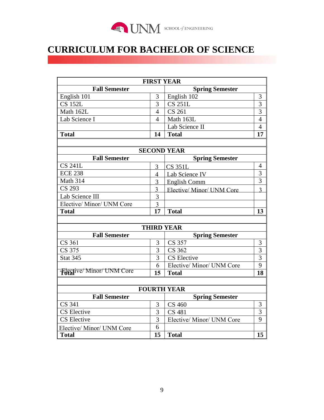

## **CURRICULUM FOR BACHELOR OF SCIENCE**

| <b>FIRST YEAR</b>                |                        |                           |                          |  |  |  |
|----------------------------------|------------------------|---------------------------|--------------------------|--|--|--|
| <b>Fall Semester</b>             | <b>Spring Semester</b> |                           |                          |  |  |  |
| English 101                      | 3                      | English 102               | 3                        |  |  |  |
| <b>CS 152L</b>                   | 3                      | <b>CS 251L</b>            | 3                        |  |  |  |
| Math 162L                        |                        | <b>CS 261</b>             | $\overline{3}$           |  |  |  |
| Lab Science I                    |                        | Math 163L                 | $\overline{4}$           |  |  |  |
|                                  |                        | Lab Science II            | $\overline{4}$           |  |  |  |
| <b>Total</b>                     |                        | <b>Total</b>              | 17                       |  |  |  |
|                                  |                        |                           |                          |  |  |  |
| <b>SECOND YEAR</b>               |                        |                           |                          |  |  |  |
| <b>Fall Semester</b>             |                        | <b>Spring Semester</b>    |                          |  |  |  |
| <b>CS 241L</b>                   | 3                      | <b>CS 351L</b>            | 4                        |  |  |  |
| <b>ECE 238</b>                   |                        | Lab Science IV            | 3                        |  |  |  |
| <b>Math 314</b>                  |                        | <b>English Comm</b>       | $\overline{3}$           |  |  |  |
| <b>CS 293</b>                    | 3                      | Elective/Minor/UNM Core   | $\overline{\mathcal{E}}$ |  |  |  |
| Lab Science III                  | 3                      |                           |                          |  |  |  |
| Elective/ Minor/ UNM Core        | 3                      |                           |                          |  |  |  |
| <b>Total</b>                     | 17                     | <b>Total</b>              | 13                       |  |  |  |
|                                  |                        |                           |                          |  |  |  |
| <b>THIRD YEAR</b>                |                        |                           |                          |  |  |  |
| <b>Fall Semester</b>             | <b>Spring Semester</b> |                           |                          |  |  |  |
| CS 361                           | 3                      | CS 357                    | 3                        |  |  |  |
| CS 375                           | $\overline{3}$         | CS 362                    | $\overline{3}$           |  |  |  |
| <b>Stat 345</b>                  | 3                      | <b>CS</b> Elective        | $\overline{3}$           |  |  |  |
|                                  | 6                      | Elective/ Minor/ UNM Core | 9                        |  |  |  |
| Flective/Minor/UNM Core          | 15                     | <b>Total</b>              | 18                       |  |  |  |
|                                  |                        |                           |                          |  |  |  |
| <b>FOURTH YEAR</b>               |                        |                           |                          |  |  |  |
| <b>Fall Semester</b>             |                        | <b>Spring Semester</b>    |                          |  |  |  |
| <b>CS 341</b>                    | 3                      | <b>CS 460</b>             | 3                        |  |  |  |
| <b>CS</b> Elective               | 3                      | <b>CS 481</b>             | 3                        |  |  |  |
| $\overline{\text{CS}}$ Elective  | 3                      | Elective/ Minor/ UNM Core | 9                        |  |  |  |
| <b>Elective/ Minor/ UNM Core</b> | 6                      |                           |                          |  |  |  |
| <b>Total</b>                     | 15                     | <b>Total</b>              | 15                       |  |  |  |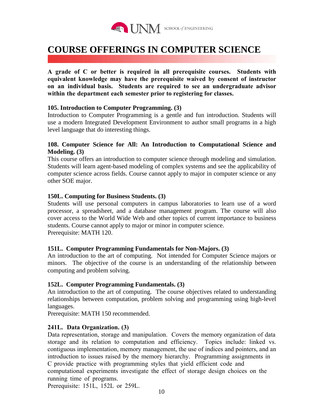

## **COURSE OFFERINGS IN COMPUTER SCIENCE**

**A grade of C or better is required in all prerequisite courses. Students with equivalent knowledge may have the prerequisite waived by consent of instructor on an individual basis. Students are required to see an undergraduate advisor within the department each semester prior to registering for classes.** 

## **105. Introduction to Computer Programming. (3)**

Introduction to Computer Programming is a gentle and fun introduction. Students will use a modern Integrated Development Environment to author small programs in a high level language that do interesting things.

## **108. Computer Science for All: An Introduction to Computational Science and Modeling. (3)**

This course offers an introduction to computer science through modeling and simulation. Students will learn agent-based modeling of complex systems and see the applicability of computer science across fields. Course cannot apply to major in computer science or any other SOE major.

## **150L. Computing for Business Students. (3)**

Students will use personal computers in campus laboratories to learn use of a word processor, a spreadsheet, and a database management program. The course will also cover access to the World Wide Web and other topics of current importance to business students. Course cannot apply to major or minor in computer science. Prerequisite: MATH 120.

## **151L. Computer Programming Fundamentals for Non-Majors. (3)**

An introduction to the art of computing. Not intended for Computer Science majors or minors. The objective of the course is an understanding of the relationship between computing and problem solving.

## **152L. Computer Programming Fundamentals. (3)**

An introduction to the art of computing. The course objectives related to understanding relationships between computation, problem solving and programming using high-level languages.

Prerequisite: MATH 150 recommended.

## **241L. Data Organization. (3)**

Data representation, storage and manipulation. Covers the memory organization of data storage and its relation to computation and efficiency. Topics include: linked vs. contiguous implementation, memory management, the use of indices and pointers, and an introduction to issues raised by the memory hierarchy. Programming assignments in C provide practice with programming styles that yield efficient code and computational experiments investigate the effect of storage design choices on the running time of programs.

Prerequisite: 151L, 152L or 259L.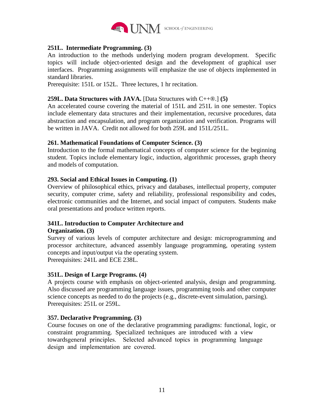

## **251L. Intermediate Programming. (3)**

An introduction to the methods underlying modern program development. Specific topics will include object-oriented design and the development of graphical user interfaces. Programming assignments will emphasize the use of objects implemented in standard libraries.

Prerequisite: 151L or 152L. Three lectures, 1 hr recitation.

## **259L. Data Structures with JAVA.** [Data Structures with C++®.] **(5)**

An accelerated course covering the material of 151L and 251L in one semester. Topics include elementary data structures and their implementation, recursive procedures, data abstraction and encapsulation, and program organization and verification. Programs will be written in JAVA. Credit not allowed for both 259L and 151L/251L.

## **261. Mathematical Foundations of Computer Science. (3)**

Introduction to the formal mathematical concepts of computer science for the beginning student. Topics include elementary logic, induction, algorithmic processes, graph theory and models of computation.

## **293. Social and Ethical Issues in Computing. (1)**

Overview of philosophical ethics, privacy and databases, intellectual property, computer security, computer crime, safety and reliability, professional responsibility and codes, electronic communities and the Internet, and social impact of computers. Students make oral presentations and produce written reports.

## **341L. Introduction to Computer Architecture and**

## **Organization. (3)**

Survey of various levels of computer architecture and design: microprogramming and processor architecture, advanced assembly language programming, operating system concepts and input/output via the operating system. Prerequisites: 241L and ECE 238L.

## **351L. Design of Large Programs. (4)**

A projects course with emphasis on object-oriented analysis, design and programming. Also discussed are programming language issues, programming tools and other computer science concepts as needed to do the projects (e.g., discrete-event simulation, parsing). Prerequisites: 251L or 259L.

## **357. Declarative Programming. (3)**

Course focuses on one of the declarative programming paradigms: functional, logic, or constraint programming. Specialized techniques are introduced with a view towardsgeneral principles. Selected advanced topics in programming language design and implementation are covered.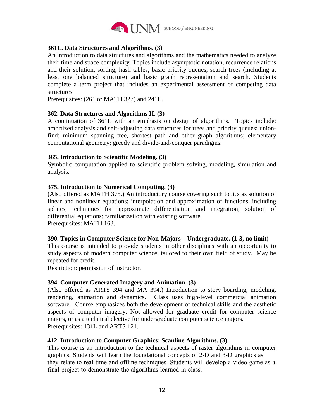

## **361L. Data Structures and Algorithms. (3)**

An introduction to data structures and algorithms and the mathematics needed to analyze their time and space complexity. Topics include asymptotic notation, recurrence relations and their solution, sorting, hash tables, basic priority queues, search trees (including at least one balanced structure) and basic graph representation and search. Students complete a term project that includes an experimental assessment of competing data structures.

Prerequisites: (261 or MATH 327) and 241L.

## **362. Data Structures and Algorithms II. (3)**

A continuation of 361L with an emphasis on design of algorithms. Topics include: amortized analysis and self-adjusting data structures for trees and priority queues; unionfind; minimum spanning tree, shortest path and other graph algorithms; elementary computational geometry; greedy and divide-and-conquer paradigms.

## **365. Introduction to Scientific Modeling. (3)**

Symbolic computation applied to scientific problem solving, modeling, simulation and analysis.

## **375. Introduction to Numerical Computing. (3)**

(Also offered as MATH 375.) An introductory course covering such topics as solution of linear and nonlinear equations; interpolation and approximation of functions, including splines; techniques for approximate differentiation and integration; solution of differential equations; familiarization with existing software. Prerequisites: MATH 163.

## **390. Topics in Computer Science for Non-Majors – Undergraduate. (1-3, no limit)**

This course is intended to provide students in other disciplines with an opportunity to study aspects of modern computer science, tailored to their own field of study. May be repeated for credit.

Restriction: permission of instructor.

## **394. Computer Generated Imagery and Animation. (3)**

(Also offered as ARTS 394 and MA 394.) Introduction to story boarding, modeling, rendering, animation and dynamics. Class uses high-level commercial animation software. Course emphasizes both the development of technical skills and the aesthetic aspects of computer imagery. Not allowed for graduate credit for computer science majors, or as a technical elective for undergraduate computer science majors. Prerequisites: 131L and ARTS 121.

## **412. Introduction to Computer Graphics: Scanline Algorithms. (3)**

This course is an introduction to the technical aspects of raster algorithms in computer graphics. Students will learn the foundational concepts of 2-D and 3-D graphics as they relate to real-time and offline techniques. Students will develop a video game as a final project to demonstrate the algorithms learned in class.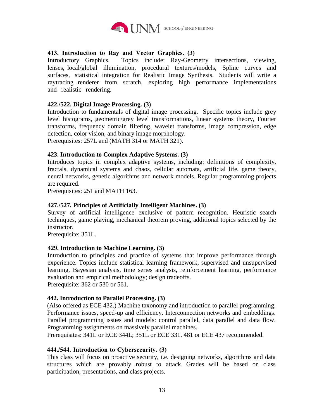

## **413. Introduction to Ray and Vector Graphics. (3)**

Introductory Graphics. Topics include: Ray-Geometry intersections, viewing, lenses, local/global illumination, procedural textures/models, Spline curves and surfaces, statistical integration for Realistic Image Synthesis. Students will write a raytracing renderer from scratch, exploring high performance implementations and realistic rendering.

## **422./522. Digital Image Processing. (3)**

Introduction to fundamentals of digital image processing. Specific topics include grey level histograms, geometric/grey level transformations, linear systems theory, Fourier transforms, frequency domain filtering, wavelet transforms, image compression, edge detection, color vision, and binary image morphology. Prerequisites: 257L and (MATH 314 or MATH 321).

## **423. Introduction to Complex Adaptive Systems. (3)**

Introduces topics in complex adaptive systems, including: definitions of complexity, fractals, dynamical systems and chaos, cellular automata, artificial life, game theory, neural networks, genetic algorithms and network models. Regular programming projects are required.

Prerequisites: 251 and MATH 163.

## **427./527. Principles of Artificially Intelligent Machines. (3)**

Survey of artificial intelligence exclusive of pattern recognition. Heuristic search techniques, game playing, mechanical theorem proving, additional topics selected by the instructor.

Prerequisite: 351L.

## **429. Introduction to Machine Learning. (3)**

Introduction to principles and practice of systems that improve performance through experience. Topics include statistical learning framework, supervised and unsupervised learning, Bayesian analysis, time series analysis, reinforcement learning, performance evaluation and empirical methodology; design tradeoffs.

Prerequisite: 362 or 530 or 561.

## **442. Introduction to Parallel Processing. (3)**

(Also offered as ECE 432.) Machine taxonomy and introduction to parallel programming. Performance issues, speed-up and efficiency. Interconnection networks and embeddings. Parallel programming issues and models: control parallel, data parallel and data flow. Programming assignments on massively parallel machines.

Prerequisites: 341L or ECE 344L; 351L or ECE 331. 481 or ECE 437 recommended.

## **444./544. Introduction to Cybersecurity. (3)**

This class will focus on proactive security, i.e. designing networks, algorithms and data structures which are provably robust to attack. Grades will be based on class participation, presentations, and class projects.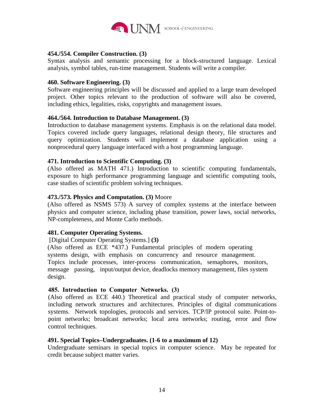

## **454./554. Compiler Construction. (3)**

Syntax analysis and semantic processing for a block-structured language. Lexical analysis, symbol tables, run-time management. Students will write a compiler.

## **460. Software Engineering. (3)**

Software engineering principles will be discussed and applied to a large team developed project. Other topics relevant to the production of software will also be covered, including ethics, legalities, risks, copyrights and management issues.

## **464./564. Introduction to Database Management. (3)**

Introduction to database management systems. Emphasis is on the relational data model. Topics covered include query languages, relational design theory, file structures and query optimization. Students will implement a database application using a nonprocedural query language interfaced with a host programming language.

## **471. Introduction to Scientific Computing. (3)**

(Also offered as MATH 471.) Introduction to scientific computing fundamentals, exposure to high performance programming language and scientific computing tools, case studies of scientific problem solving techniques.

## **473./573. Physics and Computation. (3)** Moore

(Also offered as NSMS 573) A survey of complex systems at the interface between physics and computer science, including phase transition, power laws, social networks, NP-completeness, and Monte Carlo methods.

## **481. Computer Operating Systems.**

[Digital Computer Operating Systems.] **(3)** 

(Also offered as ECE \*437.) Fundamental principles of modern operating systems design, with emphasis on concurrency and resource management. Topics include processes, inter-process communication, semaphores, monitors, message passing, input/output device, deadlocks memory management, files system design.

## **485. Introduction to Computer Networks. (3)**

(Also offered as ECE 440.) Theoretical and practical study of computer networks, including network structures and architectures. Principles of digital communications systems. Network topologies, protocols and services. TCP/IP protocol suite. Point-topoint networks; broadcast networks; local area networks; routing, error and flow control techniques.

## **491. Special Topics–Undergraduates. (1-6 to a maximum of 12)**

Undergraduate seminars in special topics in computer science. May be repeated for credit because subject matter varies.